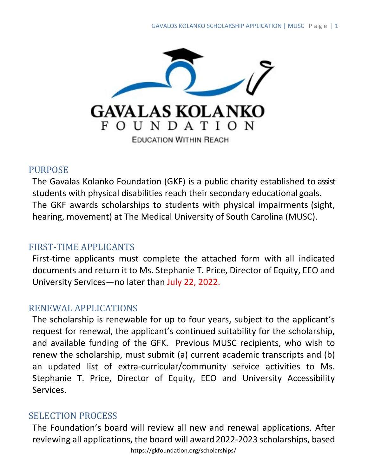

#### PURPOSE

The Gavalas Kolanko Foundation (GKF) is a public charity established to assist students with physical disabilities reach their secondary educational goals. The GKF awards scholarships to students with physical impairments (sight, hearing, movement) at The Medical University of South Carolina (MUSC).

### FIRST-TIME APPLICANTS

First-time applicants must complete the attached form with all indicated documents and return it to Ms. Stephanie T. Price, Director of Equity, EEO and University Services—no later than July 22, 2022.

### RENEWAL APPLICATIONS

The scholarship is renewable for up to four years, subject to the applicant's request for renewal, the applicant's continued suitability for the scholarship, and available funding of the GFK. Previous MUSC recipients, who wish to renew the scholarship, must submit (a) current academic transcripts and (b) an updated list of extra-curricular/community service activities to Ms. Stephanie T. Price, Director of Equity, EEO and University Accessibility Services.

### SELECTION PROCESS

The Foundation's board will review all new and renewal applications. After reviewing all applications, the board will award 2022-2023 scholarships, based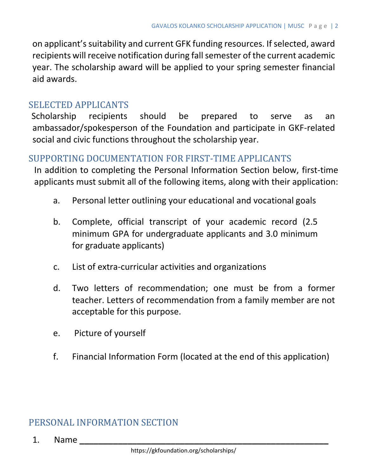on applicant's suitability and current GFK funding resources. If selected, award recipients will receive notification during fall semester of the current academic year. The scholarship award will be applied to your spring semester financial aid awards.

## SELECTED APPLICANTS

Scholarship recipients should be prepared to serve as an ambassador/spokesperson of the Foundation and participate in GKF-related social and civic functions throughout the scholarship year.

### SUPPORTING DOCUMENTATION FOR FIRST-TIME APPLICANTS

In addition to completing the Personal Information Section below, first-time applicants must submit all of the following items, along with their application:

- a. Personal letter outlining your educational and vocational goals
- b. Complete, official transcript of your academic record (2.5 minimum GPA for undergraduate applicants and 3.0 minimum for graduate applicants)
- c. List of extra-curricular activities and organizations
- d. Two letters of recommendation; one must be from a former teacher. Letters of recommendation from a family member are not acceptable for this purpose.
- e. Picture of yourself
- f. Financial Information Form (located at the end of this application)

## PERSONAL INFORMATION SECTION

1. Name **\_\_\_\_\_\_\_\_\_\_\_\_\_\_\_\_\_\_\_\_\_\_\_\_\_\_\_\_\_\_\_\_\_\_\_\_\_\_\_\_\_\_\_\_\_\_\_\_\_\_\_\_**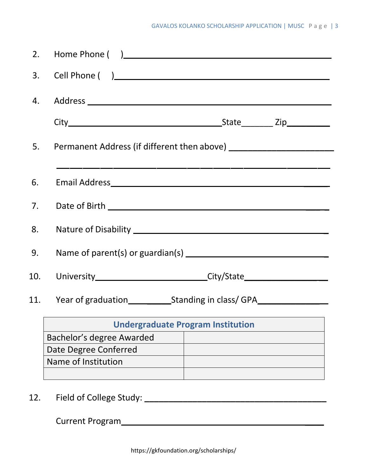|     | 3. Cell Phone ()                                                                 |  |  |
|-----|----------------------------------------------------------------------------------|--|--|
|     |                                                                                  |  |  |
|     |                                                                                  |  |  |
| 5.  |                                                                                  |  |  |
| 6.  |                                                                                  |  |  |
| 7.  |                                                                                  |  |  |
| 8.  |                                                                                  |  |  |
| 9.  |                                                                                  |  |  |
| 10. | University_______________________________City/State_____________________________ |  |  |
|     | 11. Year of graduation Standing in class/GPA                                     |  |  |
|     | <b>Undergraduate Program Institution</b>                                         |  |  |
|     | Bachelor's degree Awarded                                                        |  |  |
|     | Date Degree Conferred                                                            |  |  |
|     | Name of Institution                                                              |  |  |

12. Field of College Study: **\_\_\_\_\_\_\_\_\_\_\_\_\_\_\_\_\_\_\_\_\_\_\_\_\_\_\_\_\_\_\_\_\_\_\_\_\_\_**

Current Program \_\_\_\_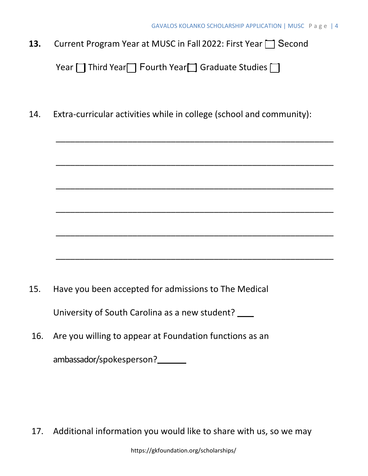13. Current Program Year at MUSC in Fall 2022: First Year  $\Box$  Second

```
Year \Box Third Year\Box Fourth Year\Box Graduate Studies \Box
```
14. Extra-curricular activities while in college (school and community):

\_\_\_\_\_\_\_\_\_\_\_\_\_\_\_\_\_\_\_\_\_\_\_\_\_\_\_\_\_\_\_\_\_\_\_\_\_\_\_\_\_\_\_\_\_\_\_\_\_\_\_\_\_\_\_\_\_\_

\_\_\_\_\_\_\_\_\_\_\_\_\_\_\_\_\_\_\_\_\_\_\_\_\_\_\_\_\_\_\_\_\_\_\_\_\_\_\_\_\_\_\_\_\_\_\_\_\_\_\_\_\_\_\_\_\_\_

\_\_\_\_\_\_\_\_\_\_\_\_\_\_\_\_\_\_\_\_\_\_\_\_\_\_\_\_\_\_\_\_\_\_\_\_\_\_\_\_\_\_\_\_\_\_\_\_\_\_\_\_\_\_\_\_\_\_

\_\_\_\_\_\_\_\_\_\_\_\_\_\_\_\_\_\_\_\_\_\_\_\_\_\_\_\_\_\_\_\_\_\_\_\_\_\_\_\_\_\_\_\_\_\_\_\_\_\_\_\_\_\_\_\_\_\_

\_\_\_\_\_\_\_\_\_\_\_\_\_\_\_\_\_\_\_\_\_\_\_\_\_\_\_\_\_\_\_\_\_\_\_\_\_\_\_\_\_\_\_\_\_\_\_\_\_\_\_\_\_\_\_\_\_\_

\_\_\_\_\_\_\_\_\_\_\_\_\_\_\_\_\_\_\_\_\_\_\_\_\_\_\_\_\_\_\_\_\_\_\_\_\_\_\_\_\_\_\_\_\_\_\_\_\_\_\_\_\_\_\_\_\_\_

- 15. Have you been accepted for admissions to The Medical University of South Carolina as a new student?
- 16. Are you willing to appear at Foundation functions as an

ambassador/spokesperson?

17. Additional information you would like to share with us, so we may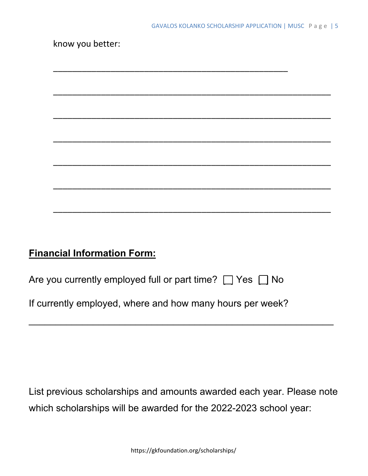# **Financial Information Form:**

| Are you currently employed full or part time? $\Box$ Yes $\Box$ No |  |  |
|--------------------------------------------------------------------|--|--|
|--------------------------------------------------------------------|--|--|

If currently employed, where and how many hours per week?

List previous scholarships and amounts awarded each year. Please note which scholarships will be awarded for the 2022-2023 school year:

 $\overline{\phantom{a}}$  , and the contract of the contract of the contract of the contract of the contract of the contract of the contract of the contract of the contract of the contract of the contract of the contract of the contrac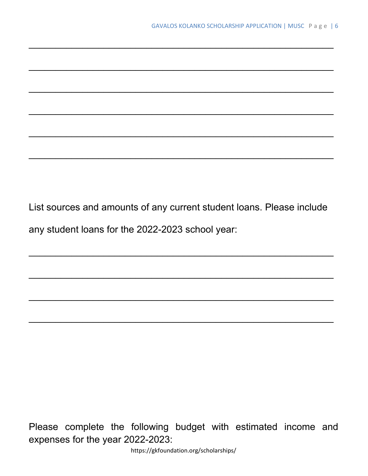List sources and amounts of any current student loans. Please include any student loans for the 2022-2023 school year:

\_\_\_\_\_\_\_\_\_\_\_\_\_\_\_\_\_\_\_\_\_\_\_\_\_\_\_\_\_\_\_\_\_\_\_\_\_\_\_\_\_\_\_\_\_\_\_\_\_\_\_\_\_\_\_\_\_

\_\_\_\_\_\_\_\_\_\_\_\_\_\_\_\_\_\_\_\_\_\_\_\_\_\_\_\_\_\_\_\_\_\_\_\_\_\_\_\_\_\_\_\_\_\_\_\_\_\_\_\_\_\_\_\_\_

\_\_\_\_\_\_\_\_\_\_\_\_\_\_\_\_\_\_\_\_\_\_\_\_\_\_\_\_\_\_\_\_\_\_\_\_\_\_\_\_\_\_\_\_\_\_\_\_\_\_\_\_\_\_\_\_\_

 $\_$ 

 $\overline{\phantom{a}}$  , and the contribution of the contribution of the contribution of the contribution of the contribution of the contribution of the contribution of the contribution of the contribution of the contribution of the

 $\overline{\phantom{a}}$  , and the contribution of the contribution of the contribution of the contribution of the contribution of the contribution of the contribution of the contribution of the contribution of the contribution of the

 $\overline{\phantom{a}}$  , and the contract of the contract of the contract of the contract of the contract of the contract of the contract of the contract of the contract of the contract of the contract of the contract of the contrac

 $\overline{\phantom{a}}$  , and the contract of the contract of the contract of the contract of the contract of the contract of the contract of the contract of the contract of the contract of the contract of the contract of the contrac

 $\overline{\phantom{a}}$  , and the contract of the contract of the contract of the contract of the contract of the contract of the contract of the contract of the contract of the contract of the contract of the contract of the contrac

 $\overline{\phantom{a}}$  , and the contract of the contract of the contract of the contract of the contract of the contract of the contract of the contract of the contract of the contract of the contract of the contract of the contrac

Please complete the following budget with estimated income and expenses for the year 2022-2023:

https://gkfoundation.org/scholarships/